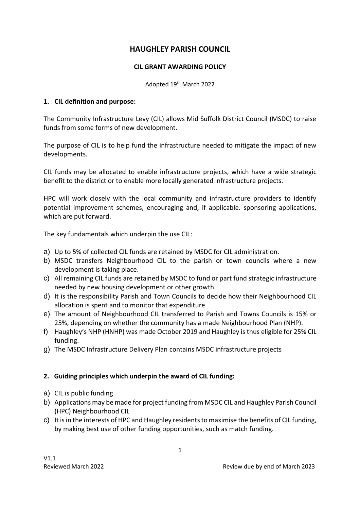# **HAUGHLEY PARISH COUNCIL**

### **CIL GRANT AWARDING POLICY**

Adopted 19th March 2022

### **1. CIL definition and purpose:**

The Community Infrastructure Levy (CIL) allows Mid Suffolk District Council (MSDC) to raise funds from some forms of new development.

The purpose of CIL is to help fund the infrastructure needed to mitigate the impact of new developments.

CIL funds may be allocated to enable infrastructure projects, which have a wide strategic benefit to the district or to enable more locally generated infrastructure projects.

HPC will work closely with the local community and infrastructure providers to identify potential improvement schemes, encouraging and, if applicable. sponsoring applications, which are put forward.

The key fundamentals which underpin the use CIL:

- a) Up to 5% of collected CIL funds are retained by MSDC for CIL administration.
- b) MSDC transfers Neighbourhood CIL to the parish or town councils where a new development is taking place.
- c) All remaining CIL funds are retained by MSDC to fund or part fund strategic infrastructure needed by new housing development or other growth.
- d) It is the responsibility Parish and Town Councils to decide how their Neighbourhood CIL allocation is spent and to monitor that expenditure
- e) The amount of Neighbourhood CIL transferred to Parish and Towns Councils is 15% or 25%, depending on whether the community has a made Neighbourhood Plan (NHP).
- f) Haughley's NHP (HNHP) was made October 2019 and Haughley is thus eligible for 25% CIL funding.
- g) The MSDC Infrastructure Delivery Plan contains MSDC infrastructure projects

# **2. Guiding principles which underpin the award of CIL funding:**

- a) CIL is public funding
- b) Applications may be made for project funding from MSDC CIL and Haughley Parish Council (HPC) Neighbourhood CIL
- c) It is in the interests of HPC and Haughley residents to maximise the benefits of CIL funding, by making best use of other funding opportunities, such as match funding.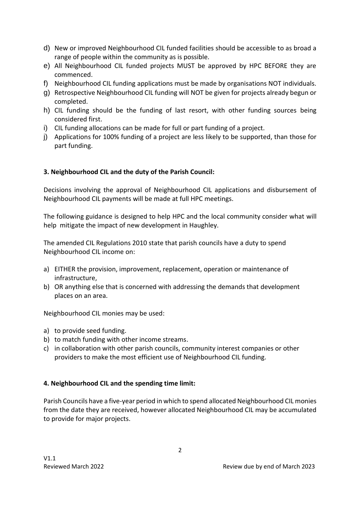- d) New or improved Neighbourhood CIL funded facilities should be accessible to as broad a range of people within the community as is possible.
- e) All Neighbourhood CIL funded projects MUST be approved by HPC BEFORE they are commenced.
- f) Neighbourhood CIL funding applications must be made by organisations NOT individuals.
- g) Retrospective Neighbourhood CIL funding will NOT be given for projects already begun or completed.
- h) CIL funding should be the funding of last resort, with other funding sources being considered first.
- i) CIL funding allocations can be made for full or part funding of a project.
- j) Applications for 100% funding of a project are less likely to be supported, than those for part funding.

# **3. Neighbourhood CIL and the duty of the Parish Council:**

Decisions involving the approval of Neighbourhood CIL applications and disbursement of Neighbourhood CIL payments will be made at full HPC meetings.

The following guidance is designed to help HPC and the local community consider what will help mitigate the impact of new development in Haughley.

The amended CIL Regulations 2010 state that parish councils have a duty to spend Neighbourhood CIL income on:

- a) EITHER the provision, improvement, replacement, operation or maintenance of infrastructure,
- b) OR anything else that is concerned with addressing the demands that development places on an area.

Neighbourhood CIL monies may be used:

- a) to provide seed funding.
- b) to match funding with other income streams.
- c) in collaboration with other parish councils, community interest companies or other providers to make the most efficient use of Neighbourhood CIL funding.

### **4. Neighbourhood CIL and the spending time limit:**

Parish Councils have a five-year period in which to spend allocated Neighbourhood CIL monies from the date they are received, however allocated Neighbourhood CIL may be accumulated to provide for major projects.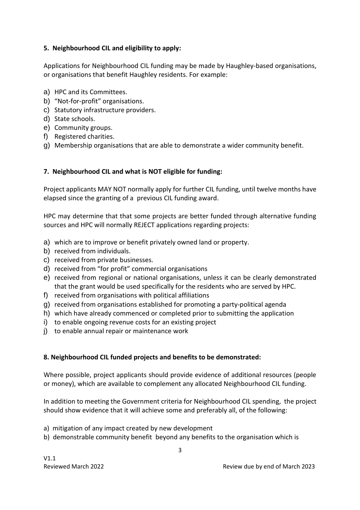### **5. Neighbourhood CIL and eligibility to apply:**

Applications for Neighbourhood CIL funding may be made by Haughley-based organisations, or organisations that benefit Haughley residents. For example:

- a) HPC and its Committees.
- b) "Not-for-profit" organisations.
- c) Statutory infrastructure providers.
- d) State schools.
- e) Community groups.
- f) Registered charities.
- g) Membership organisations that are able to demonstrate a wider community benefit.

### **7. Neighbourhood CIL and what is NOT eligible for funding:**

Project applicants MAY NOT normally apply for further CIL funding, until twelve months have elapsed since the granting of a previous CIL funding award.

HPC may determine that that some projects are better funded through alternative funding sources and HPC will normally REJECT applications regarding projects:

- a) which are to improve or benefit privately owned land or property.
- b) received from individuals.
- c) received from private businesses.
- d) received from "for profit" commercial organisations
- e) received from regional or national organisations, unless it can be clearly demonstrated that the grant would be used specifically for the residents who are served by HPC.
- f) received from organisations with political affiliations
- g) received from organisations established for promoting a party-political agenda
- h) which have already commenced or completed prior to submitting the application
- i) to enable ongoing revenue costs for an existing project
- j) to enable annual repair or maintenance work

### **8. Neighbourhood CIL funded projects and benefits to be demonstrated:**

Where possible, project applicants should provide evidence of additional resources (people or money), which are available to complement any allocated Neighbourhood CIL funding.

In addition to meeting the Government criteria for Neighbourhood CIL spending, the project should show evidence that it will achieve some and preferably all, of the following:

- a) mitigation of any impact created by new development
- b) demonstrable community benefit beyond any benefits to the organisation which is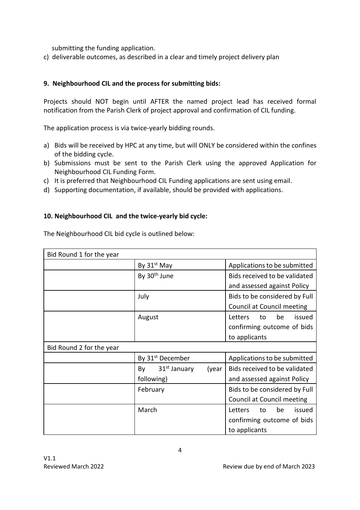submitting the funding application.

c) deliverable outcomes, as described in a clear and timely project delivery plan

### **9. Neighbourhood CIL and the process for submitting bids:**

Projects should NOT begin until AFTER the named project lead has received formal notification from the Parish Clerk of project approval and confirmation of CIL funding.

The application process is via twice-yearly bidding rounds.

- a) Bids will be received by HPC at any time, but will ONLY be considered within the confines of the bidding cycle.
- b) Submissions must be sent to the Parish Clerk using the approved Application for Neighbourhood CIL Funding Form.
- c) It is preferred that Neighbourhood CIL Funding applications are sent using email.
- d) Supporting documentation, if available, should be provided with applications.

### **10. Neighbourhood CIL and the twice-yearly bid cycle:**

| Bid Round 1 for the year |                                                       |                                                                              |
|--------------------------|-------------------------------------------------------|------------------------------------------------------------------------------|
|                          | By 31 <sup>st</sup> May                               | Applications to be submitted                                                 |
|                          | By 30 <sup>th</sup> June                              | Bids received to be validated<br>and assessed against Policy                 |
|                          | July                                                  | Bids to be considered by Full<br>Council at Council meeting                  |
|                          | August                                                | be<br>Letters<br>to<br>issued<br>confirming outcome of bids<br>to applicants |
| Bid Round 2 for the year |                                                       |                                                                              |
|                          | By 31 <sup>st</sup> December                          | Applications to be submitted                                                 |
|                          | 31 <sup>st</sup> January<br>By<br>(year<br>following) | Bids received to be validated<br>and assessed against Policy                 |
|                          | February                                              | Bids to be considered by Full<br>Council at Council meeting                  |
|                          | March                                                 | be<br>Letters<br>issued<br>to<br>confirming outcome of bids<br>to applicants |
|                          |                                                       |                                                                              |

The Neighbourhood CIL bid cycle is outlined below: